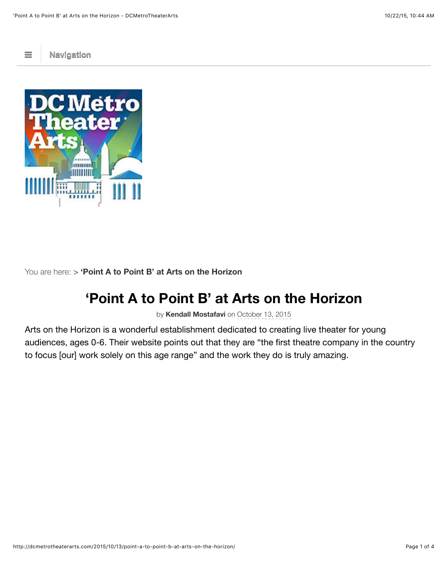$\equiv$  **[Navigation](http://dcmetrotheaterarts.com/2015/10/13/point-a-to-point-b-at-arts-on-the-horizon/#navigation)** 



You are here: > **'Point A to Point B' at Arts on the Horizon**

## **'Point A to Point B' at Arts on the Horizon**

by **[Kendall Mostafavi](http://dcmetrotheaterarts.com/author/kendall-mostafavi/)** on October 13, 2015

Arts on the Horizon is a wonderful establishment dedicated to creating live theater for young audiences, ages 0-6. Their website points out that they are "the first theatre company in the country to focus [our] work solely on this age range" and the work they do is truly amazing.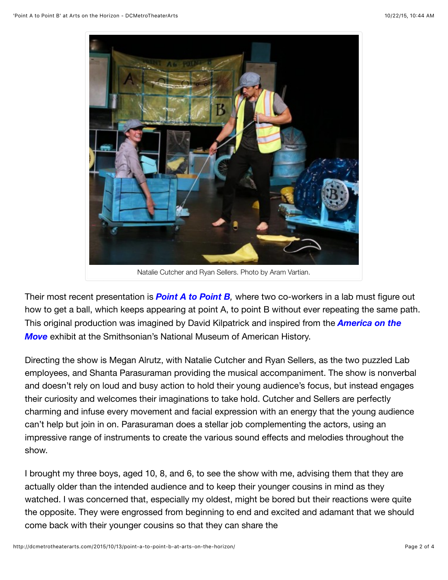

Natalie Cutcher and Ryan Sellers. Photo by Aram Vartian.

Their most recent presentation is *[Point A to Point B](http://www.artsonthehorizon.org/mission--history.html),* where two co-workers in a lab must figure out how to get a ball, which keeps appearing at point A, to point B without ever repeating the same path. [This original production was imagined by David Kilpatrick and inspired from the](http://amhistory.si.edu/onthemove/exhibition/) *America on the Move* exhibit at the Smithsonian's National Museum of American History.

Directing the show is Megan Alrutz, with Natalie Cutcher and Ryan Sellers, as the two puzzled Lab employees, and Shanta Parasuraman providing the musical accompaniment. The show is nonverbal and doesn't rely on loud and busy action to hold their young audience's focus, but instead engages their curiosity and welcomes their imaginations to take hold. Cutcher and Sellers are perfectly charming and infuse every movement and facial expression with an energy that the young audience can't help but join in on. Parasuraman does a stellar job complementing the actors, using an impressive range of instruments to create the various sound effects and melodies throughout the show.

I brought my three boys, aged 10, 8, and 6, to see the show with me, advising them that they are actually older than the intended audience and to keep their younger cousins in mind as they watched. I was concerned that, especially my oldest, might be bored but their reactions were quite the opposite. They were engrossed from beginning to end and excited and adamant that we should come back with their younger cousins so that they can share the